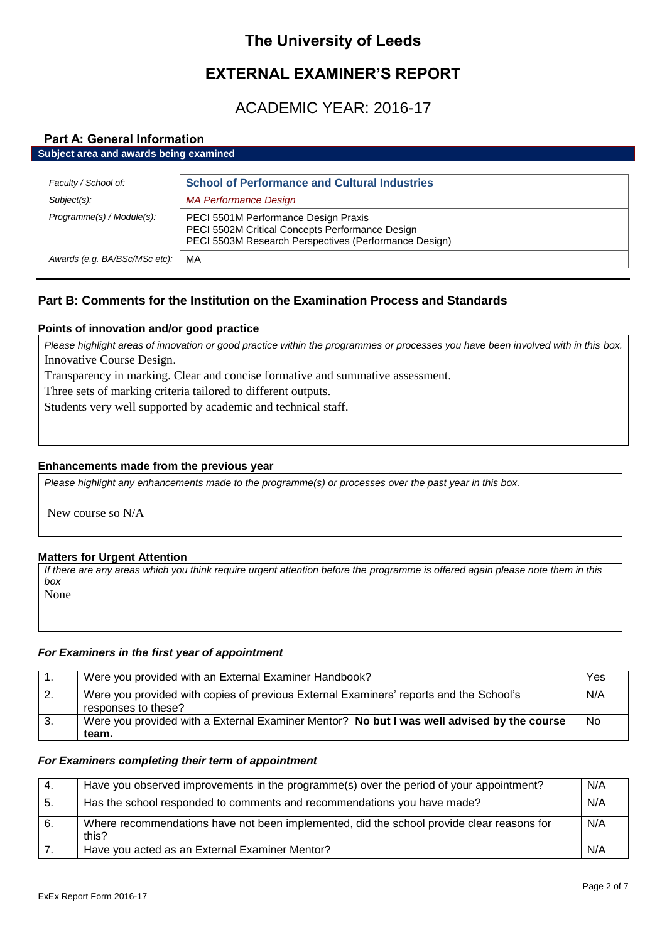# **The University of Leeds**

# **EXTERNAL EXAMINER'S REPORT**

# ACADEMIC YEAR: 2016-17

# **Part A: General Information**

| Subject area and awards being examined |                                                                                                                                                  |  |
|----------------------------------------|--------------------------------------------------------------------------------------------------------------------------------------------------|--|
|                                        |                                                                                                                                                  |  |
| Faculty / School of:                   | <b>School of Performance and Cultural Industries</b>                                                                                             |  |
| Subject(s):                            | <b>MA Performance Design</b>                                                                                                                     |  |
| Programme(s) / Module(s):              | PECI 5501M Performance Design Praxis<br>PECI 5502M Critical Concepts Performance Design<br>PECI 5503M Research Perspectives (Performance Design) |  |
| Awards (e.g. BA/BSc/MSc etc):          | MA                                                                                                                                               |  |

# **Part B: Comments for the Institution on the Examination Process and Standards**

# **Points of innovation and/or good practice**

*Please highlight areas of innovation or good practice within the programmes or processes you have been involved with in this box.* Innovative Course Design.

Transparency in marking. Clear and concise formative and summative assessment.

Three sets of marking criteria tailored to different outputs.

Students very well supported by academic and technical staff.

# **Enhancements made from the previous year**

*Please highlight any enhancements made to the programme(s) or processes over the past year in this box.*

New course so N/A

## **Matters for Urgent Attention**

*If there are any areas which you think require urgent attention before the programme is offered again please note them in this box*

None

# *For Examiners in the first year of appointment*

|    | Were you provided with an External Examiner Handbook?                                                         | Yes       |
|----|---------------------------------------------------------------------------------------------------------------|-----------|
|    | Were you provided with copies of previous External Examiners' reports and the School's<br>responses to these? | N/A       |
| 3. | Were you provided with a External Examiner Mentor? No but I was well advised by the course<br>team.           | <b>No</b> |

## *For Examiners completing their term of appointment*

| -4. | Have you observed improvements in the programme(s) over the period of your appointment?            | N/A |
|-----|----------------------------------------------------------------------------------------------------|-----|
| -5. | Has the school responded to comments and recommendations you have made?                            | N/A |
| 6.  | Where recommendations have not been implemented, did the school provide clear reasons for<br>this? | N/A |
|     | Have you acted as an External Examiner Mentor?                                                     | N/A |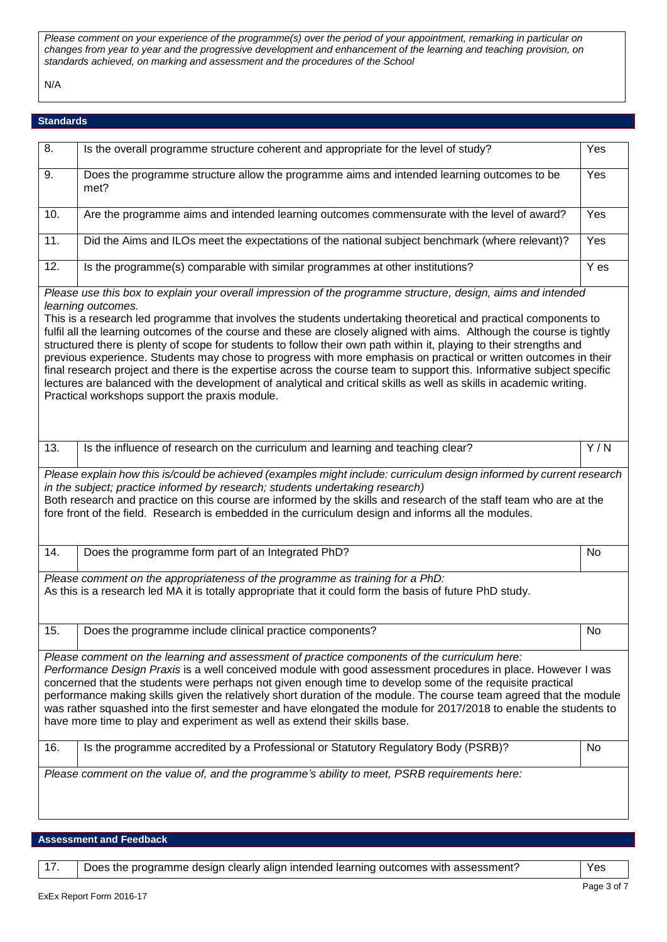*Please comment on your experience of the programme(s) over the period of your appointment, remarking in particular on changes from year to year and the progressive development and enhancement of the learning and teaching provision, on standards achieved, on marking and assessment and the procedures of the School*

N/A

# **Standards**

| 8.  | Is the overall programme structure coherent and appropriate for the level of study?                                                                                                                                                                                                                                                                                                                                                                                                                                                                                                                                                                                                                                                                                                                                                                                                                                           | Yes    |
|-----|-------------------------------------------------------------------------------------------------------------------------------------------------------------------------------------------------------------------------------------------------------------------------------------------------------------------------------------------------------------------------------------------------------------------------------------------------------------------------------------------------------------------------------------------------------------------------------------------------------------------------------------------------------------------------------------------------------------------------------------------------------------------------------------------------------------------------------------------------------------------------------------------------------------------------------|--------|
| 9.  | Does the programme structure allow the programme aims and intended learning outcomes to be<br>met?                                                                                                                                                                                                                                                                                                                                                                                                                                                                                                                                                                                                                                                                                                                                                                                                                            | Yes    |
| 10. | Are the programme aims and intended learning outcomes commensurate with the level of award?                                                                                                                                                                                                                                                                                                                                                                                                                                                                                                                                                                                                                                                                                                                                                                                                                                   | Yes    |
| 11. | Did the Aims and ILOs meet the expectations of the national subject benchmark (where relevant)?                                                                                                                                                                                                                                                                                                                                                                                                                                                                                                                                                                                                                                                                                                                                                                                                                               | Yes    |
| 12. | Is the programme(s) comparable with similar programmes at other institutions?                                                                                                                                                                                                                                                                                                                                                                                                                                                                                                                                                                                                                                                                                                                                                                                                                                                 | $Y$ es |
|     | Please use this box to explain your overall impression of the programme structure, design, aims and intended<br>learning outcomes.<br>This is a research led programme that involves the students undertaking theoretical and practical components to<br>fulfil all the learning outcomes of the course and these are closely aligned with aims. Although the course is tightly<br>structured there is plenty of scope for students to follow their own path within it, playing to their strengths and<br>previous experience. Students may chose to progress with more emphasis on practical or written outcomes in their<br>final research project and there is the expertise across the course team to support this. Informative subject specific<br>lectures are balanced with the development of analytical and critical skills as well as skills in academic writing.<br>Practical workshops support the praxis module. |        |
| 13. | Is the influence of research on the curriculum and learning and teaching clear?                                                                                                                                                                                                                                                                                                                                                                                                                                                                                                                                                                                                                                                                                                                                                                                                                                               | Y/N    |
|     | Please explain how this is/could be achieved (examples might include: curriculum design informed by current research<br>in the subject; practice informed by research; students undertaking research)<br>Both research and practice on this course are informed by the skills and research of the staff team who are at the<br>fore front of the field. Research is embedded in the curriculum design and informs all the modules.                                                                                                                                                                                                                                                                                                                                                                                                                                                                                            |        |
| 14. | Does the programme form part of an Integrated PhD?                                                                                                                                                                                                                                                                                                                                                                                                                                                                                                                                                                                                                                                                                                                                                                                                                                                                            | No     |
|     | Please comment on the appropriateness of the programme as training for a PhD:<br>As this is a research led MA it is totally appropriate that it could form the basis of future PhD study.                                                                                                                                                                                                                                                                                                                                                                                                                                                                                                                                                                                                                                                                                                                                     |        |
| 15. | Does the programme include clinical practice components?                                                                                                                                                                                                                                                                                                                                                                                                                                                                                                                                                                                                                                                                                                                                                                                                                                                                      | No     |
| 16. | Please comment on the learning and assessment of practice components of the curriculum here:<br>Performance Design Praxis is a well conceived module with good assessment procedures in place. However I was<br>concerned that the students were perhaps not given enough time to develop some of the requisite practical<br>performance making skills given the relatively short duration of the module. The course team agreed that the module<br>was rather squashed into the first semester and have elongated the module for 2017/2018 to enable the students to<br>have more time to play and experiment as well as extend their skills base.<br>Is the programme accredited by a Professional or Statutory Regulatory Body (PSRB)?                                                                                                                                                                                     | No     |
|     |                                                                                                                                                                                                                                                                                                                                                                                                                                                                                                                                                                                                                                                                                                                                                                                                                                                                                                                               |        |
|     | Please comment on the value of, and the programme's ability to meet, PSRB requirements here:                                                                                                                                                                                                                                                                                                                                                                                                                                                                                                                                                                                                                                                                                                                                                                                                                                  |        |

**Assessment and Feedback**

| Does the programme design clearly align intended learning outcomes with assessment? | Yes |
|-------------------------------------------------------------------------------------|-----|
|                                                                                     |     |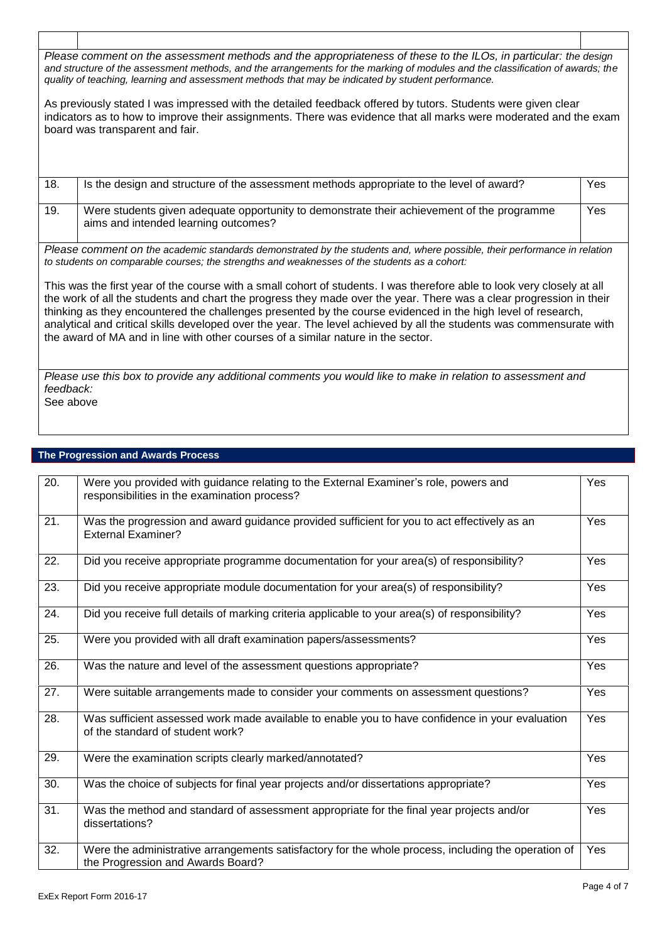*Please comment on the assessment methods and the appropriateness of these to the ILOs, in particular: the design and structure of the assessment methods, and the arrangements for the marking of modules and the classification of awards; the quality of teaching, learning and assessment methods that may be indicated by student performance.*

As previously stated I was impressed with the detailed feedback offered by tutors. Students were given clear indicators as to how to improve their assignments. There was evidence that all marks were moderated and the exam board was transparent and fair.

| 18. | Is the design and structure of the assessment methods appropriate to the level of award?   | Yes |
|-----|--------------------------------------------------------------------------------------------|-----|
| 19. | Were students given adequate opportunity to demonstrate their achievement of the programme | Yes |

*Please comment on the academic standards demonstrated by the students and, where possible, their performance in relation to students on comparable courses; the strengths and weaknesses of the students as a cohort:*

This was the first year of the course with a small cohort of students. I was therefore able to look very closely at all the work of all the students and chart the progress they made over the year. There was a clear progression in their thinking as they encountered the challenges presented by the course evidenced in the high level of research, analytical and critical skills developed over the year. The level achieved by all the students was commensurate with the award of MA and in line with other courses of a similar nature in the sector.

*Please use this box to provide any additional comments you would like to make in relation to assessment and feedback:* See above

## **The Progression and Awards Process**

aims and intended learning outcomes?

| $\overline{20}$ . | Were you provided with guidance relating to the External Examiner's role, powers and<br>responsibilities in the examination process?     | Yes |
|-------------------|------------------------------------------------------------------------------------------------------------------------------------------|-----|
| 21.               | Was the progression and award guidance provided sufficient for you to act effectively as an<br><b>External Examiner?</b>                 | Yes |
| 22.               | Did you receive appropriate programme documentation for your area(s) of responsibility?                                                  | Yes |
| 23.               | Did you receive appropriate module documentation for your area(s) of responsibility?                                                     | Yes |
| 24.               | Did you receive full details of marking criteria applicable to your area(s) of responsibility?                                           | Yes |
| 25.               | Were you provided with all draft examination papers/assessments?                                                                         | Yes |
| 26.               | Was the nature and level of the assessment questions appropriate?                                                                        | Yes |
| 27.               | Were suitable arrangements made to consider your comments on assessment questions?                                                       | Yes |
| 28.               | Was sufficient assessed work made available to enable you to have confidence in your evaluation<br>of the standard of student work?      | Yes |
| 29.               | Were the examination scripts clearly marked/annotated?                                                                                   | Yes |
| 30.               | Was the choice of subjects for final year projects and/or dissertations appropriate?                                                     | Yes |
| 31.               | Was the method and standard of assessment appropriate for the final year projects and/or<br>dissertations?                               | Yes |
| 32.               | Were the administrative arrangements satisfactory for the whole process, including the operation of<br>the Progression and Awards Board? | Yes |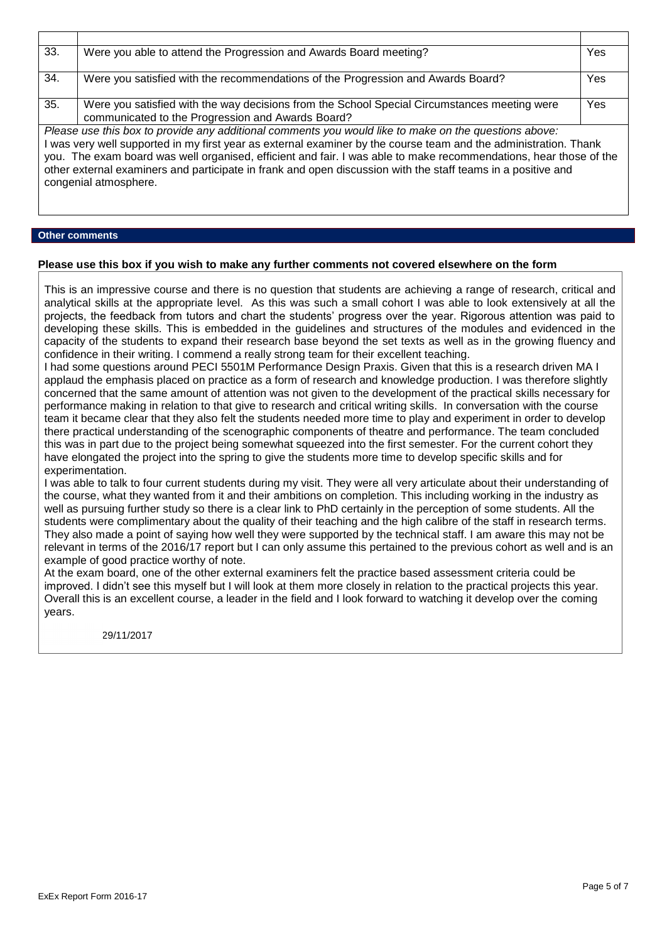| 33. | Were you able to attend the Progression and Awards Board meeting?                                                                                                                                                                                                                                                                                                                                                                                                                       | Yes |  |
|-----|-----------------------------------------------------------------------------------------------------------------------------------------------------------------------------------------------------------------------------------------------------------------------------------------------------------------------------------------------------------------------------------------------------------------------------------------------------------------------------------------|-----|--|
| 34. | Were you satisfied with the recommendations of the Progression and Awards Board?                                                                                                                                                                                                                                                                                                                                                                                                        | Yes |  |
| 35. | Were you satisfied with the way decisions from the School Special Circumstances meeting were<br>communicated to the Progression and Awards Board?                                                                                                                                                                                                                                                                                                                                       | Yes |  |
|     | Please use this box to provide any additional comments you would like to make on the questions above:<br>I was very well supported in my first year as external examiner by the course team and the administration. Thank<br>you. The exam board was well organised, efficient and fair. I was able to make recommendations, hear those of the<br>other external examiners and participate in frank and open discussion with the staff teams in a positive and<br>congenial atmosphere. |     |  |

## **Other comments**

## **Please use this box if you wish to make any further comments not covered elsewhere on the form**

This is an impressive course and there is no question that students are achieving a range of research, critical and analytical skills at the appropriate level. As this was such a small cohort I was able to look extensively at all the projects, the feedback from tutors and chart the students' progress over the year. Rigorous attention was paid to developing these skills. This is embedded in the guidelines and structures of the modules and evidenced in the capacity of the students to expand their research base beyond the set texts as well as in the growing fluency and confidence in their writing. I commend a really strong team for their excellent teaching.

I had some questions around PECI 5501M Performance Design Praxis. Given that this is a research driven MA I applaud the emphasis placed on practice as a form of research and knowledge production. I was therefore slightly concerned that the same amount of attention was not given to the development of the practical skills necessary for performance making in relation to that give to research and critical writing skills. In conversation with the course team it became clear that they also felt the students needed more time to play and experiment in order to develop there practical understanding of the scenographic components of theatre and performance. The team concluded this was in part due to the project being somewhat squeezed into the first semester. For the current cohort they have elongated the project into the spring to give the students more time to develop specific skills and for experimentation.

I was able to talk to four current students during my visit. They were all very articulate about their understanding of the course, what they wanted from it and their ambitions on completion. This including working in the industry as well as pursuing further study so there is a clear link to PhD certainly in the perception of some students. All the students were complimentary about the quality of their teaching and the high calibre of the staff in research terms. They also made a point of saying how well they were supported by the technical staff. I am aware this may not be relevant in terms of the 2016/17 report but I can only assume this pertained to the previous cohort as well and is an example of good practice worthy of note.

At the exam board, one of the other external examiners felt the practice based assessment criteria could be improved. I didn't see this myself but I will look at them more closely in relation to the practical projects this year. Overall this is an excellent course, a leader in the field and I look forward to watching it develop over the coming years.

29/11/2017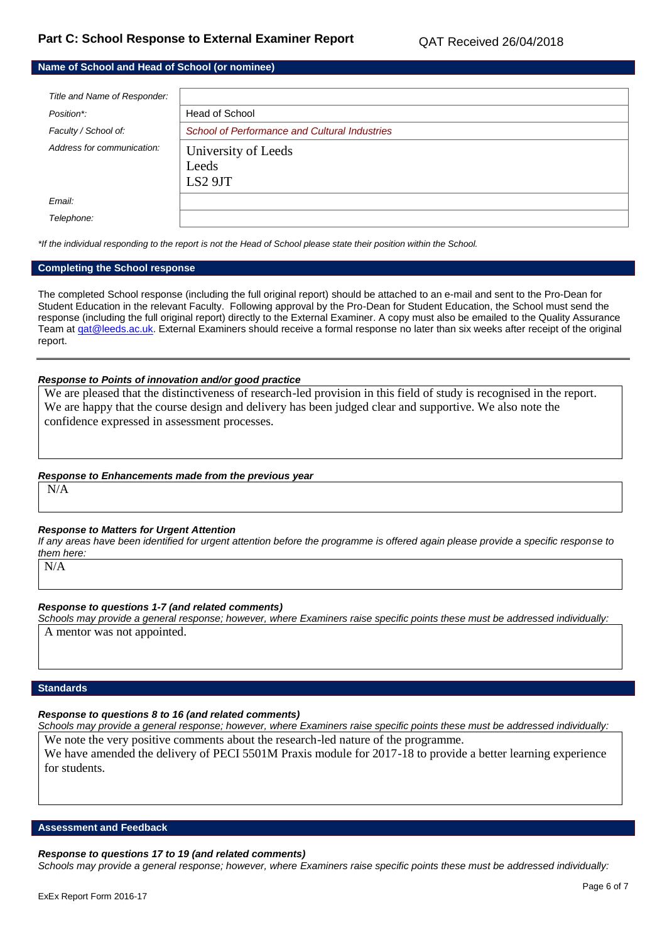# **Name of School and Head of School (or nominee)**

| Title and Name of Responder: |                                               |
|------------------------------|-----------------------------------------------|
| Position*:                   | Head of School                                |
| Faculty / School of:         | School of Performance and Cultural Industries |
| Address for communication:   | University of Leeds                           |
|                              | Leeds                                         |
|                              | LS2 9JT                                       |
| Email:                       |                                               |
| Telephone:                   |                                               |

*\*If the individual responding to the report is not the Head of School please state their position within the School.*

## **Completing the School response**

The completed School response (including the full original report) should be attached to an e-mail and sent to the Pro-Dean for Student Education in the relevant Faculty. Following approval by the Pro-Dean for Student Education, the School must send the response (including the full original report) directly to the External Examiner. A copy must also be emailed to the Quality Assurance Team a[t qat@leeds.ac.uk.](mailto:qat@leeds.ac.uk) External Examiners should receive a formal response no later than six weeks after receipt of the original report.

## *Response to Points of innovation and/or good practice*

We are pleased that the distinctiveness of research-led provision in this field of study is recognised in the report. We are happy that the course design and delivery has been judged clear and supportive. We also note the confidence expressed in assessment processes.

#### *Response to Enhancements made from the previous year*

N/A

#### *Response to Matters for Urgent Attention*

*If any areas have been identified for urgent attention before the programme is offered again please provide a specific response to them here:*

N/A

## *Response to questions 1-7 (and related comments)*

*Schools may provide a general response; however, where Examiners raise specific points these must be addressed individually:* A mentor was not appointed.

### **Standards**

## *Response to questions 8 to 16 (and related comments)*

*Schools may provide a general response; however, where Examiners raise specific points these must be addressed individually:* We note the very positive comments about the research-led nature of the programme.

We have amended the delivery of PECI 5501M Praxis module for 2017-18 to provide a better learning experience for students.

#### **Assessment and Feedback**

#### *Response to questions 17 to 19 (and related comments)*

*Schools may provide a general response; however, where Examiners raise specific points these must be addressed individually:*